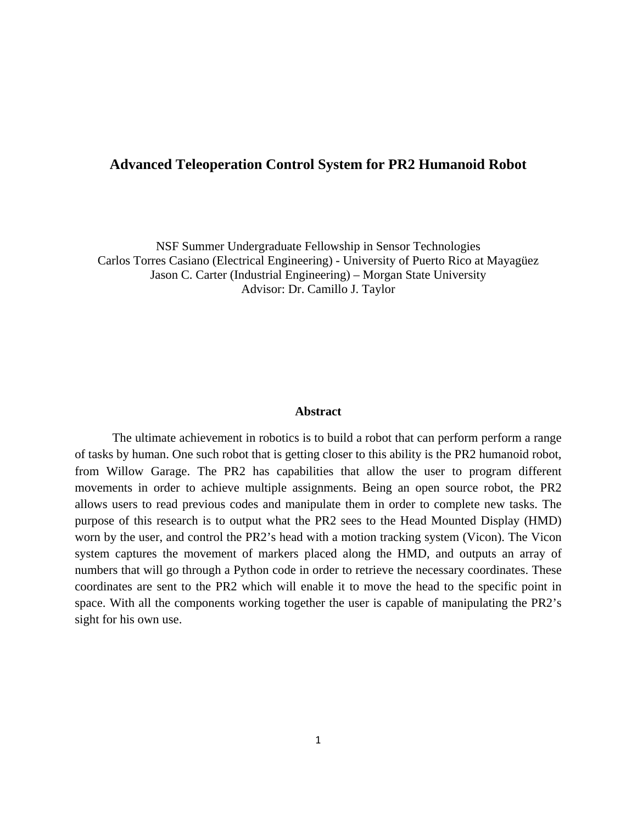## **Advanced Teleoperation Control System for PR2 Humanoid Robot**

NSF Summer Undergraduate Fellowship in Sensor Technologies Carlos Torres Casiano (Electrical Engineering) - University of Puerto Rico at Mayagüez Jason C. Carter (Industrial Engineering) – Morgan State University Advisor: Dr. Camillo J. Taylor

### **Abstract**

The ultimate achievement in robotics is to build a robot that can perform perform a range of tasks by human. One such robot that is getting closer to this ability is the PR2 humanoid robot, from Willow Garage. The PR2 has capabilities that allow the user to program different movements in order to achieve multiple assignments. Being an open source robot, the PR2 allows users to read previous codes and manipulate them in order to complete new tasks. The purpose of this research is to output what the PR2 sees to the Head Mounted Display (HMD) worn by the user, and control the PR2's head with a motion tracking system (Vicon). The Vicon system captures the movement of markers placed along the HMD, and outputs an array of numbers that will go through a Python code in order to retrieve the necessary coordinates. These coordinates are sent to the PR2 which will enable it to move the head to the specific point in space. With all the components working together the user is capable of manipulating the PR2's sight for his own use.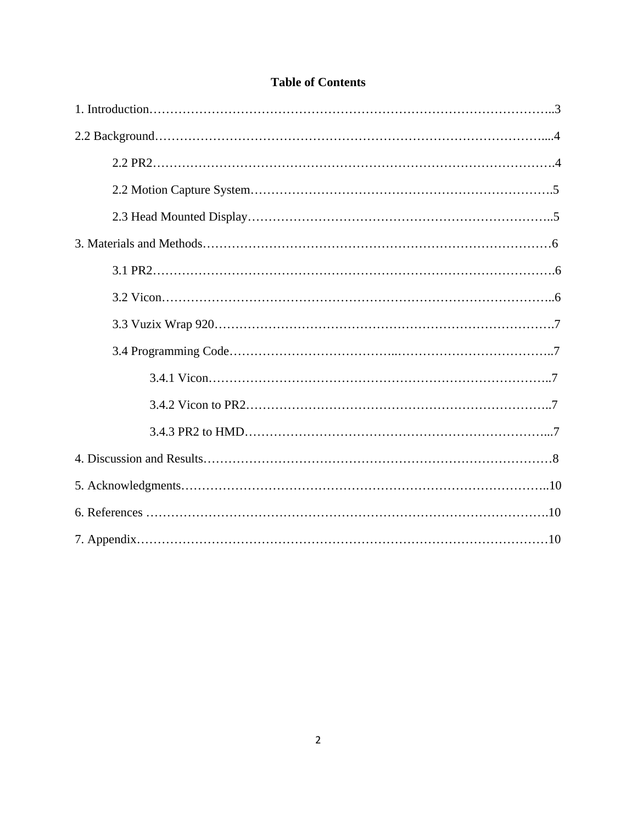# **Table of Contents**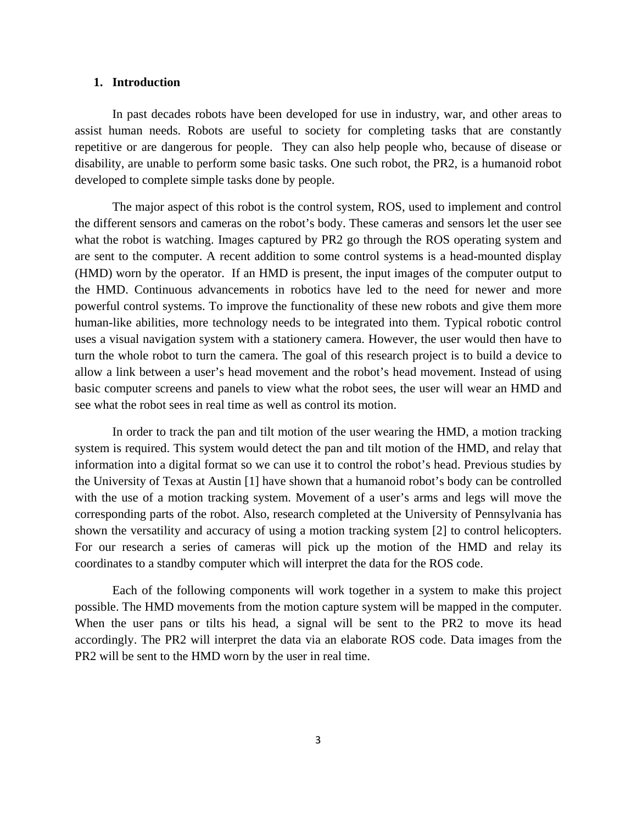#### **1. Introduction**

In past decades robots have been developed for use in industry, war, and other areas to assist human needs. Robots are useful to society for completing tasks that are constantly repetitive or are dangerous for people. They can also help people who, because of disease or disability, are unable to perform some basic tasks. One such robot, the PR2, is a humanoid robot developed to complete simple tasks done by people.

The major aspect of this robot is the control system, ROS, used to implement and control the different sensors and cameras on the robot's body. These cameras and sensors let the user see what the robot is watching. Images captured by PR2 go through the ROS operating system and are sent to the computer. A recent addition to some control systems is a head-mounted display (HMD) worn by the operator. If an HMD is present, the input images of the computer output to the HMD. Continuous advancements in robotics have led to the need for newer and more powerful control systems. To improve the functionality of these new robots and give them more human-like abilities, more technology needs to be integrated into them. Typical robotic control uses a visual navigation system with a stationery camera. However, the user would then have to turn the whole robot to turn the camera. The goal of this research project is to build a device to allow a link between a user's head movement and the robot's head movement. Instead of using basic computer screens and panels to view what the robot sees, the user will wear an HMD and see what the robot sees in real time as well as control its motion.

In order to track the pan and tilt motion of the user wearing the HMD, a motion tracking system is required. This system would detect the pan and tilt motion of the HMD, and relay that information into a digital format so we can use it to control the robot's head. Previous studies by the University of Texas at Austin [1] have shown that a humanoid robot's body can be controlled with the use of a motion tracking system. Movement of a user's arms and legs will move the corresponding parts of the robot. Also, research completed at the University of Pennsylvania has shown the versatility and accuracy of using a motion tracking system [2] to control helicopters. For our research a series of cameras will pick up the motion of the HMD and relay its coordinates to a standby computer which will interpret the data for the ROS code.

Each of the following components will work together in a system to make this project possible. The HMD movements from the motion capture system will be mapped in the computer. When the user pans or tilts his head, a signal will be sent to the PR2 to move its head accordingly. The PR2 will interpret the data via an elaborate ROS code. Data images from the PR2 will be sent to the HMD worn by the user in real time.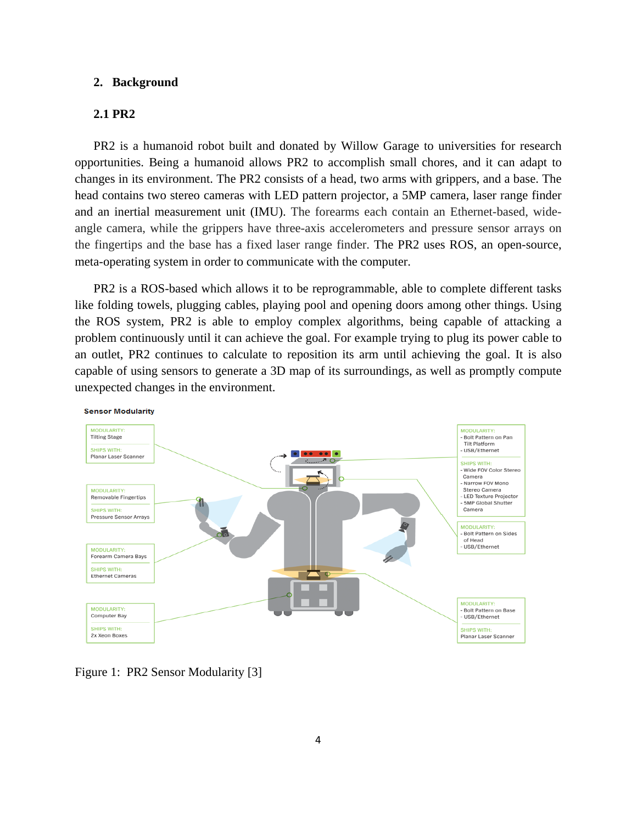#### **2. Background**

## **2.1 PR2**

PR2 is a humanoid robot built and donated by Willow Garage to universities for research opportunities. Being a humanoid allows PR2 to accomplish small chores, and it can adapt to changes in its environment. The PR2 consists of a head, two arms with grippers, and a base. The head contains two stereo cameras with LED pattern projector, a 5MP camera, laser range finder and an inertial measurement unit (IMU). The forearms each contain an Ethernet-based, wideangle camera, while the grippers have three-axis accelerometers and pressure sensor arrays on the fingertips and the base has a fixed laser range finder. The PR2 uses ROS, an open-source, meta-operating system in order to communicate with the computer.

PR2 is a ROS-based which allows it to be reprogrammable, able to complete different tasks like folding towels, plugging cables, playing pool and opening doors among other things. Using the ROS system, PR2 is able to employ complex algorithms, being capable of attacking a problem continuously until it can achieve the goal. For example trying to plug its power cable to an outlet, PR2 continues to calculate to reposition its arm until achieving the goal. It is also capable of using sensors to generate a 3D map of its surroundings, as well as promptly compute unexpected changes in the environment.



Figure 1: PR2 Sensor Modularity [3]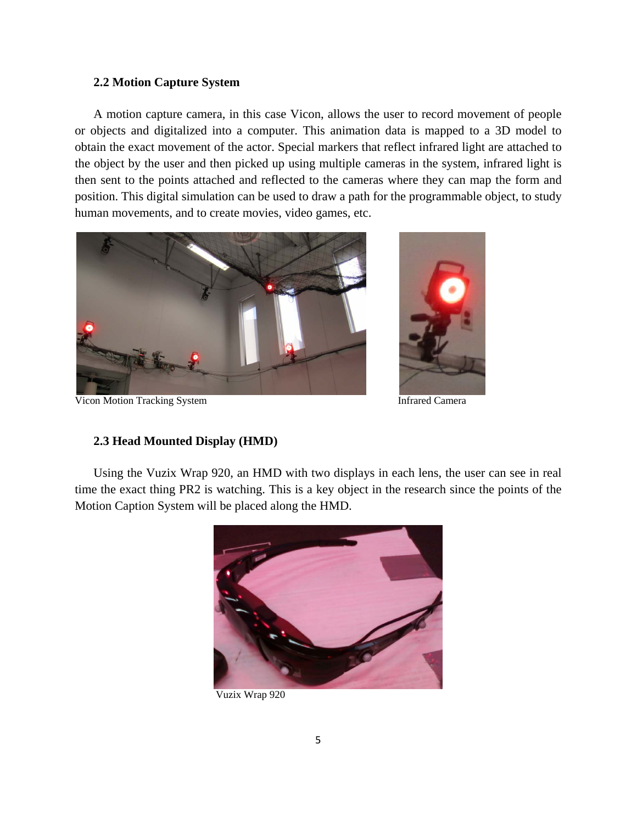### **2.2 Motion Capture System**

A motion capture camera, in this case Vicon, allows the user to record movement of people or objects and digitalized into a computer. This animation data is mapped to a 3D model to obtain the exact movement of the actor. Special markers that reflect infrared light are attached to the object by the user and then picked up using multiple cameras in the system, infrared light is then sent to the points attached and reflected to the cameras where they can map the form and position. This digital simulation can be used to draw a path for the programmable object, to study human movements, and to create movies, video games, etc.



Vicon Motion Tracking System **Infrared Camera** Infrared Camera

## **2.3 Head Mounted Display (HMD)**

Using the Vuzix Wrap 920, an HMD with two displays in each lens, the user can see in real time the exact thing PR2 is watching. This is a key object in the research since the points of the Motion Caption System will be placed along the HMD.



Vuzix Wrap 920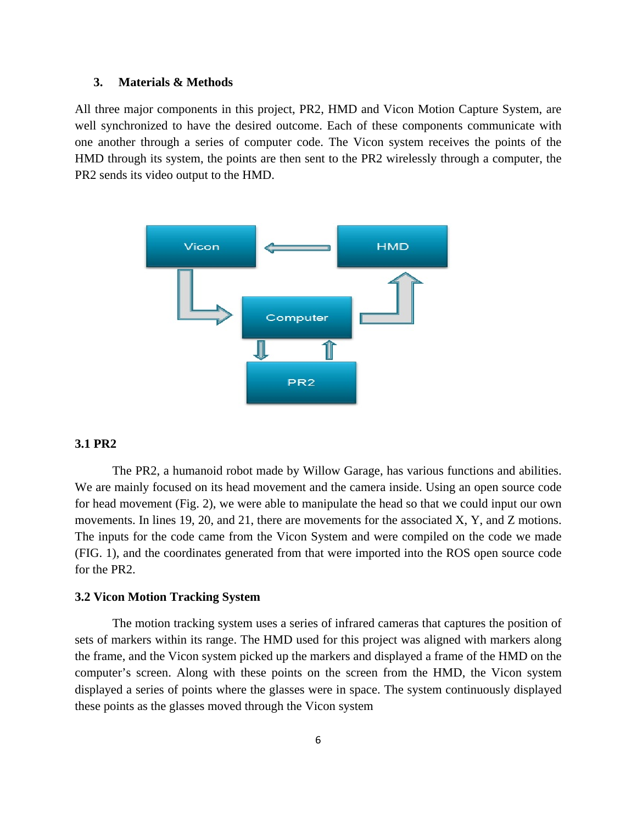### **3. Materials & Methods**

All three major components in this project, PR2, HMD and Vicon Motion Capture System, are well synchronized to have the desired outcome. Each of these components communicate with one another through a series of computer code. The Vicon system receives the points of the HMD through its system, the points are then sent to the PR2 wirelessly through a computer, the PR2 sends its video output to the HMD.



#### **3.1 PR2**

The PR2, a humanoid robot made by Willow Garage, has various functions and abilities. We are mainly focused on its head movement and the camera inside. Using an open source code for head movement (Fig. 2), we were able to manipulate the head so that we could input our own movements. In lines 19, 20, and 21, there are movements for the associated X, Y, and Z motions. The inputs for the code came from the Vicon System and were compiled on the code we made (FIG. 1), and the coordinates generated from that were imported into the ROS open source code for the PR2.

### **3.2 Vicon Motion Tracking System**

 The motion tracking system uses a series of infrared cameras that captures the position of sets of markers within its range. The HMD used for this project was aligned with markers along the frame, and the Vicon system picked up the markers and displayed a frame of the HMD on the computer's screen. Along with these points on the screen from the HMD, the Vicon system displayed a series of points where the glasses were in space. The system continuously displayed these points as the glasses moved through the Vicon system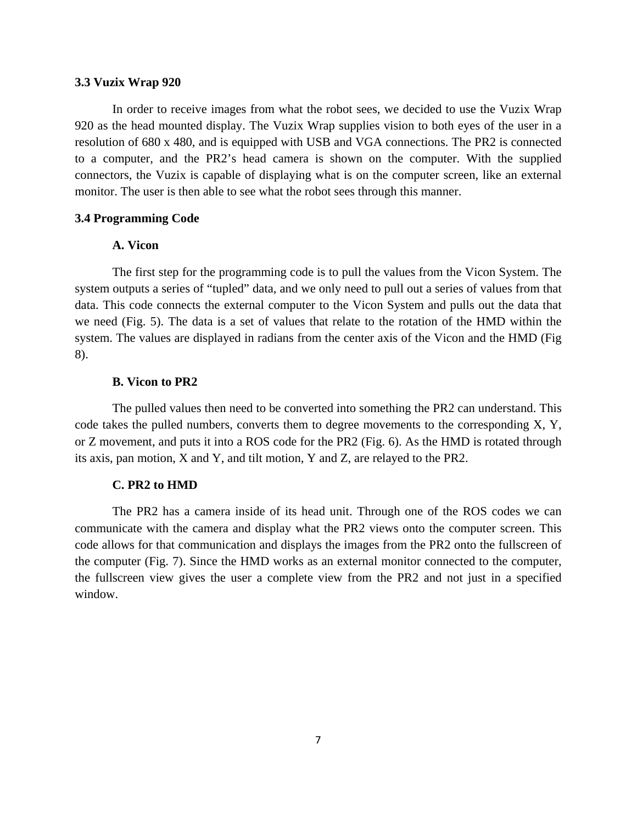#### **3.3 Vuzix Wrap 920**

 In order to receive images from what the robot sees, we decided to use the Vuzix Wrap 920 as the head mounted display. The Vuzix Wrap supplies vision to both eyes of the user in a resolution of 680 x 480, and is equipped with USB and VGA connections. The PR2 is connected to a computer, and the PR2's head camera is shown on the computer. With the supplied connectors, the Vuzix is capable of displaying what is on the computer screen, like an external monitor. The user is then able to see what the robot sees through this manner.

### **3.4 Programming Code**

### **A. Vicon**

The first step for the programming code is to pull the values from the Vicon System. The system outputs a series of "tupled" data, and we only need to pull out a series of values from that data. This code connects the external computer to the Vicon System and pulls out the data that we need (Fig. 5). The data is a set of values that relate to the rotation of the HMD within the system. The values are displayed in radians from the center axis of the Vicon and the HMD (Fig 8).

#### **B. Vicon to PR2**

The pulled values then need to be converted into something the PR2 can understand. This code takes the pulled numbers, converts them to degree movements to the corresponding X, Y, or Z movement, and puts it into a ROS code for the PR2 (Fig. 6). As the HMD is rotated through its axis, pan motion, X and Y, and tilt motion, Y and Z, are relayed to the PR2.

#### **C. PR2 to HMD**

The PR2 has a camera inside of its head unit. Through one of the ROS codes we can communicate with the camera and display what the PR2 views onto the computer screen. This code allows for that communication and displays the images from the PR2 onto the fullscreen of the computer (Fig. 7). Since the HMD works as an external monitor connected to the computer, the fullscreen view gives the user a complete view from the PR2 and not just in a specified window.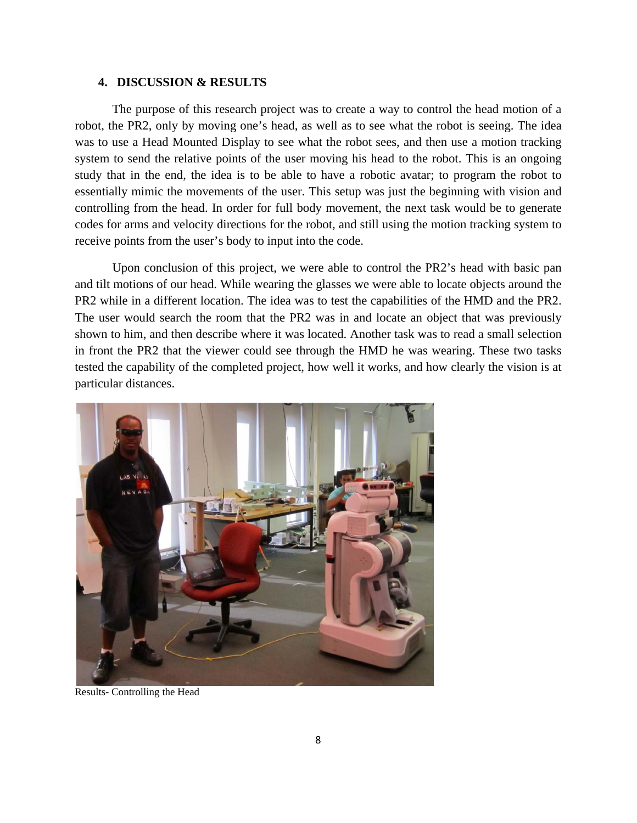### **4. DISCUSSION & RESULTS**

 The purpose of this research project was to create a way to control the head motion of a robot, the PR2, only by moving one's head, as well as to see what the robot is seeing. The idea was to use a Head Mounted Display to see what the robot sees, and then use a motion tracking system to send the relative points of the user moving his head to the robot. This is an ongoing study that in the end, the idea is to be able to have a robotic avatar; to program the robot to essentially mimic the movements of the user. This setup was just the beginning with vision and controlling from the head. In order for full body movement, the next task would be to generate codes for arms and velocity directions for the robot, and still using the motion tracking system to receive points from the user's body to input into the code.

 Upon conclusion of this project, we were able to control the PR2's head with basic pan and tilt motions of our head. While wearing the glasses we were able to locate objects around the PR2 while in a different location. The idea was to test the capabilities of the HMD and the PR2. The user would search the room that the PR2 was in and locate an object that was previously shown to him, and then describe where it was located. Another task was to read a small selection in front the PR2 that the viewer could see through the HMD he was wearing. These two tasks tested the capability of the completed project, how well it works, and how clearly the vision is at particular distances.



Results- Controlling the Head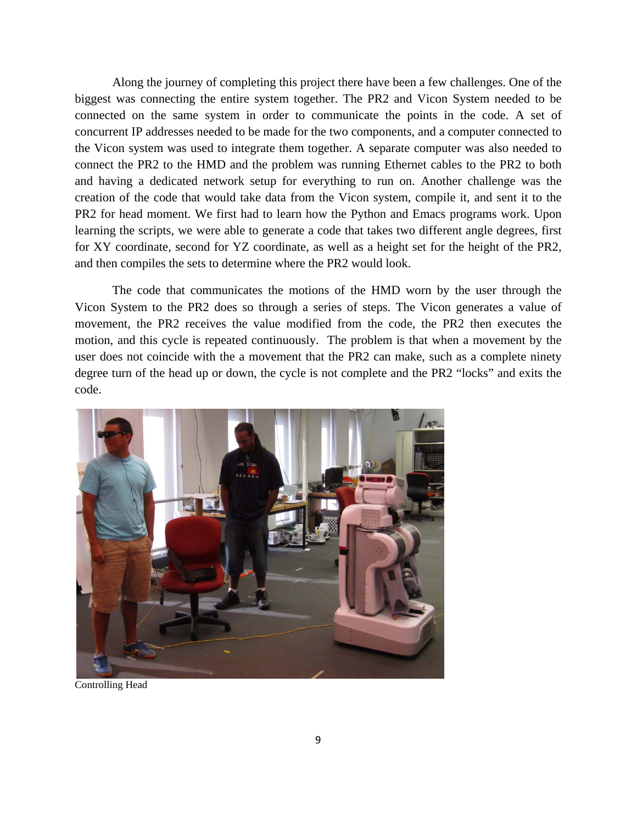Along the journey of completing this project there have been a few challenges. One of the biggest was connecting the entire system together. The PR2 and Vicon System needed to be connected on the same system in order to communicate the points in the code. A set of concurrent IP addresses needed to be made for the two components, and a computer connected to the Vicon system was used to integrate them together. A separate computer was also needed to connect the PR2 to the HMD and the problem was running Ethernet cables to the PR2 to both and having a dedicated network setup for everything to run on. Another challenge was the creation of the code that would take data from the Vicon system, compile it, and sent it to the PR2 for head moment. We first had to learn how the Python and Emacs programs work. Upon learning the scripts, we were able to generate a code that takes two different angle degrees, first for XY coordinate, second for YZ coordinate, as well as a height set for the height of the PR2, and then compiles the sets to determine where the PR2 would look.

 The code that communicates the motions of the HMD worn by the user through the Vicon System to the PR2 does so through a series of steps. The Vicon generates a value of movement, the PR2 receives the value modified from the code, the PR2 then executes the motion, and this cycle is repeated continuously. The problem is that when a movement by the user does not coincide with the a movement that the PR2 can make, such as a complete ninety degree turn of the head up or down, the cycle is not complete and the PR2 "locks" and exits the code.



Controlling Head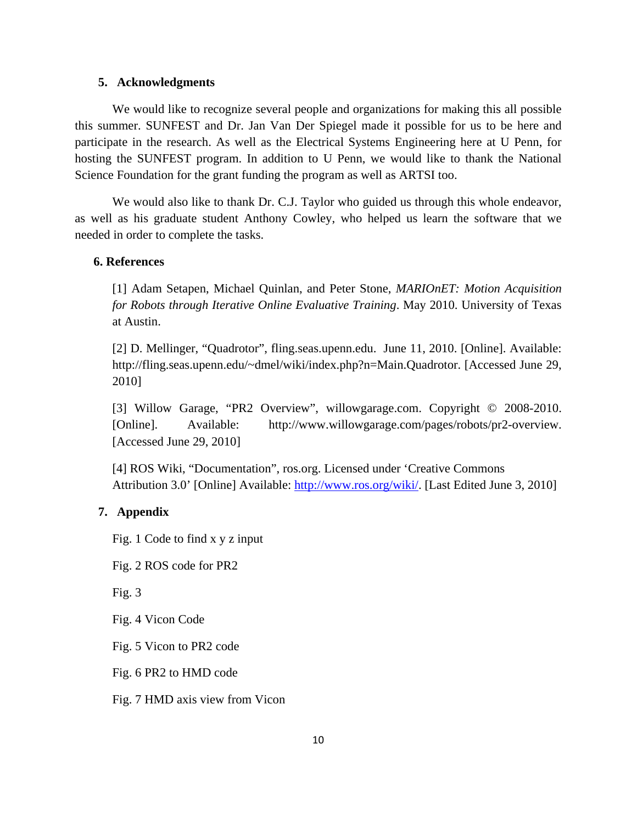#### **5. Acknowledgments**

 We would like to recognize several people and organizations for making this all possible this summer. SUNFEST and Dr. Jan Van Der Spiegel made it possible for us to be here and participate in the research. As well as the Electrical Systems Engineering here at U Penn, for hosting the SUNFEST program. In addition to U Penn, we would like to thank the National Science Foundation for the grant funding the program as well as ARTSI too.

We would also like to thank Dr. C.J. Taylor who guided us through this whole endeavor, as well as his graduate student Anthony Cowley, who helped us learn the software that we needed in order to complete the tasks.

#### **6. References**

[1] Adam Setapen, Michael Quinlan, and Peter Stone, *MARIOnET: Motion Acquisition for Robots through Iterative Online Evaluative Training*. May 2010. University of Texas at Austin.

[2] D. Mellinger, "Quadrotor", fling.seas.upenn.edu. June 11, 2010. [Online]. Available: http://fling.seas.upenn.edu/~dmel/wiki/index.php?n=Main.Quadrotor. [Accessed June 29, 2010]

[3] Willow Garage, "PR2 Overview", willowgarage.com. Copyright © 2008-2010. [Online]. Available: http://www.willowgarage.com/pages/robots/pr2-overview. [Accessed June 29, 2010]

[4] ROS Wiki, "Documentation", ros.org. Licensed under 'Creative Commons Attribution 3.0' [Online] Available: http://www.ros.org/wiki/. [Last Edited June 3, 2010]

## **7. Appendix**

Fig. 1 Code to find x y z input

Fig. 2 ROS code for PR2

Fig. 3

Fig. 4 Vicon Code

Fig. 5 Vicon to PR2 code

Fig. 6 PR2 to HMD code

Fig. 7 HMD axis view from Vicon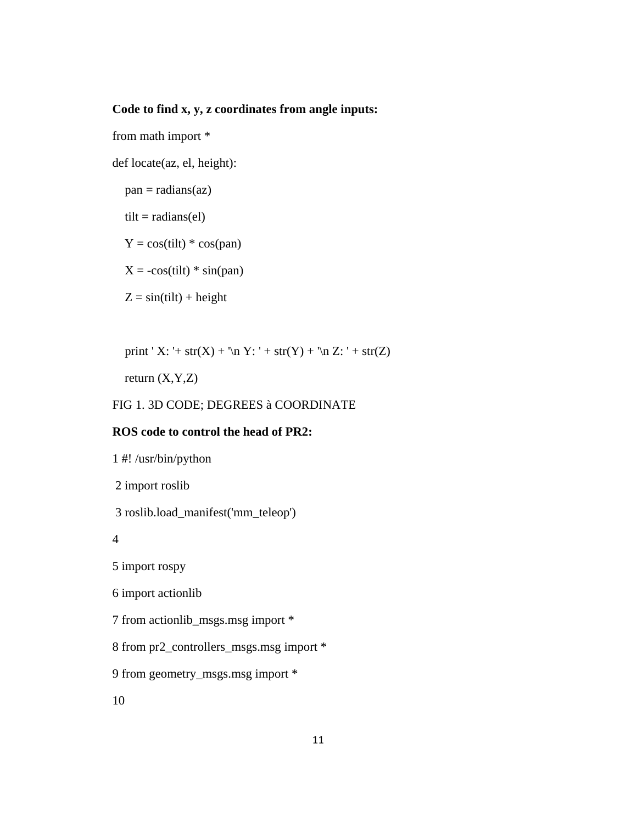## **Code to find x, y, z coordinates from angle inputs:**

from math import \*

def locate(az, el, height):

 $pan = radians(az)$ 

 $tilt = radius(el)$ 

 $Y = \cos(\text{tilt}) \cdot \cos(\text{pan})$ 

 $X = -\cos(t)$  \* sin(pan)

 $Z = \sin(\text{tilt}) + \text{height}$ 

print ' X: '+ str(X) + '\n Y: ' + str(Y) + '\n Z: ' + str(Z)

return  $(X, Y, Z)$ 

## FIG 1. 3D CODE; DEGREES à COORDINATE

## **ROS code to control the head of PR2:**

1 #! /usr/bin/python 2 import roslib

3 roslib.load\_manifest('mm\_teleop')

4

5 import rospy

6 import actionlib

7 from actionlib\_msgs.msg import \*

8 from pr2\_controllers\_msgs.msg import \*

9 from geometry\_msgs.msg import \*

10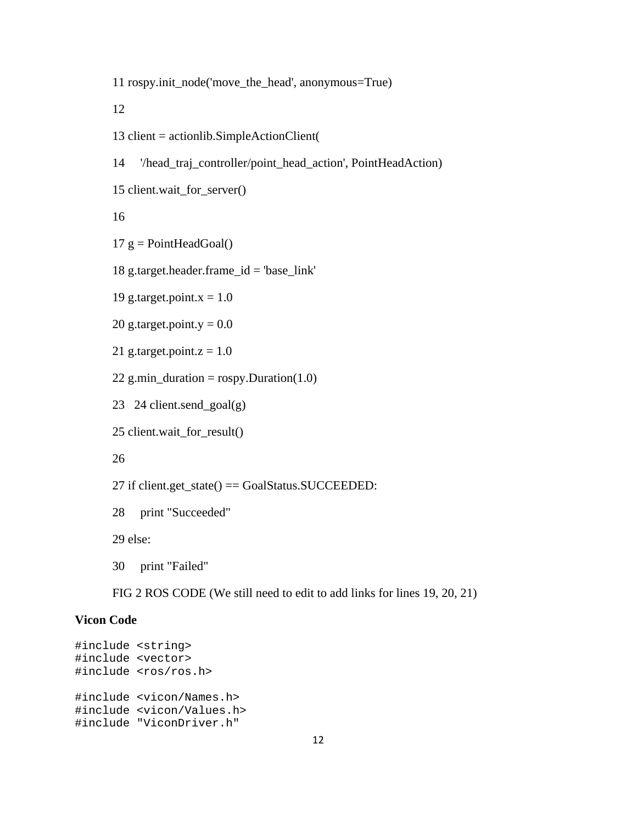11 rospy.init\_node('move\_the\_head', anonymous=True)

12

- 13 client = actionlib.SimpleActionClient(
- 14 '/head\_traj\_controller/point\_head\_action', PointHeadAction)

```
15 client.wait_for_server()
```
16

```
17 g = PointHeadGoal()
```
18 g.target.header.frame\_id = 'base\_link'

19 g.target.point. $x = 1.0$ 

20 g.target.point.y =  $0.0$ 

```
21 g.target.point.z = 1.0
```

```
22 g.min_duration = rospy.Duration(1.0)
```
23 24 client.send\_goal(g)

```
25 client.wait_for_result()
```
26

```
27 if client.get_state() == GoalStatus.SUCCEEDED:
```

```
28 print "Succeeded"
```
29 else:

30 print "Failed"

FIG 2 ROS CODE (We still need to edit to add links for lines 19, 20, 21)

## **Vicon Code**

```
#include <string> 
#include <vector> 
#include <ros/ros.h> 
#include <vicon/Names.h> 
#include <vicon/Values.h> 
#include "ViconDriver.h"
```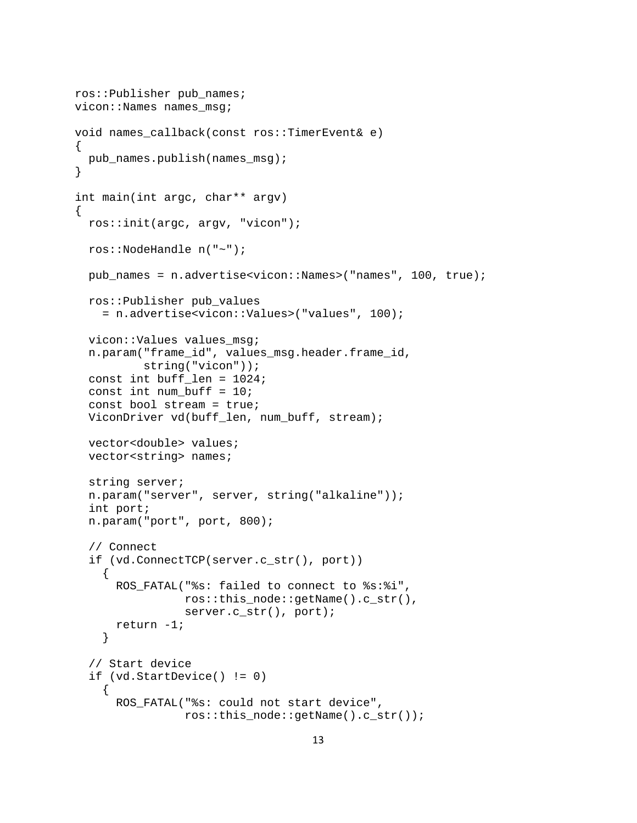```
ros::Publisher pub_names; 
vicon::Names names_msg; 
void names_callback(const ros::TimerEvent& e) 
\{ pub_names.publish(names_msg); 
} 
int main(int argc, char** argv) 
{ 
   ros::init(argc, argv, "vicon"); 
   ros::NodeHandle n("~"); 
   pub_names = n.advertise<vicon::Names>("names", 100, true); 
   ros::Publisher pub_values 
     = n.advertise<vicon::Values>("values", 100); 
   vicon::Values values_msg; 
   n.param("frame_id", values_msg.header.frame_id, 
           string("vicon")); 
   const int buff_len = 1024; 
  const int num buff = 10;
   const bool stream = true; 
   ViconDriver vd(buff_len, num_buff, stream); 
   vector<double> values; 
   vector<string> names; 
   string server; 
   n.param("server", server, string("alkaline")); 
   int port; 
   n.param("port", port, 800); 
   // Connect 
   if (vd.ConnectTCP(server.c_str(), port)) 
     { 
       ROS_FATAL("%s: failed to connect to %s:%i", 
                  ros::this_node::getName().c_str(), 
                 server.c_str(), port);
       return -1; 
     } 
   // Start device 
   if (vd.StartDevice() != 0) 
     { 
       ROS_FATAL("%s: could not start device", 
                  ros::this_node::getName().c_str());
```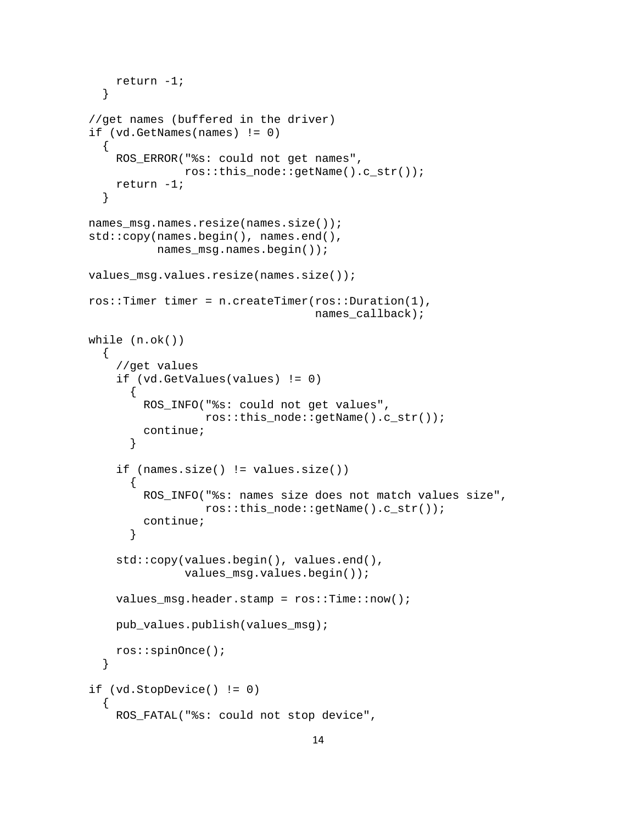```
 return -1; 
     } 
  //get names (buffered in the driver) 
  if (vd.GetNames(names) != 0) 
     { 
       ROS_ERROR("%s: could not get names", 
                 ros::this_node::getName().c_str()); 
       return -1; 
     } 
  names_msg.names.resize(names.size()); 
  std::copy(names.begin(), names.end(), 
             names_msg.names.begin()); 
  values_msg.values.resize(names.size()); 
  ros::Timer timer = n.createTimer(ros::Duration(1), 
                                      names_callback); 
  while (n.ok()) 
    \{ //get values 
       if (vd.GetValues(values) != 0) 
        \{ ROS_INFO("%s: could not get values", 
                     ros::this_node::getName().c_str()); 
           continue; 
 } 
       if (names.size() != values.size()) 
        \{ ROS_INFO("%s: names size does not match values size", 
                     ros::this_node::getName().c_str()); 
           continue; 
 } 
       std::copy(values.begin(), values.end(), 
                  values_msg.values.begin()); 
       values_msg.header.stamp = ros::Time::now(); 
      pub values.publish(values msg);
       ros::spinOnce(); 
     } 
  if (vd.StopDevice() != 0) 
    \{ ROS_FATAL("%s: could not stop device",
```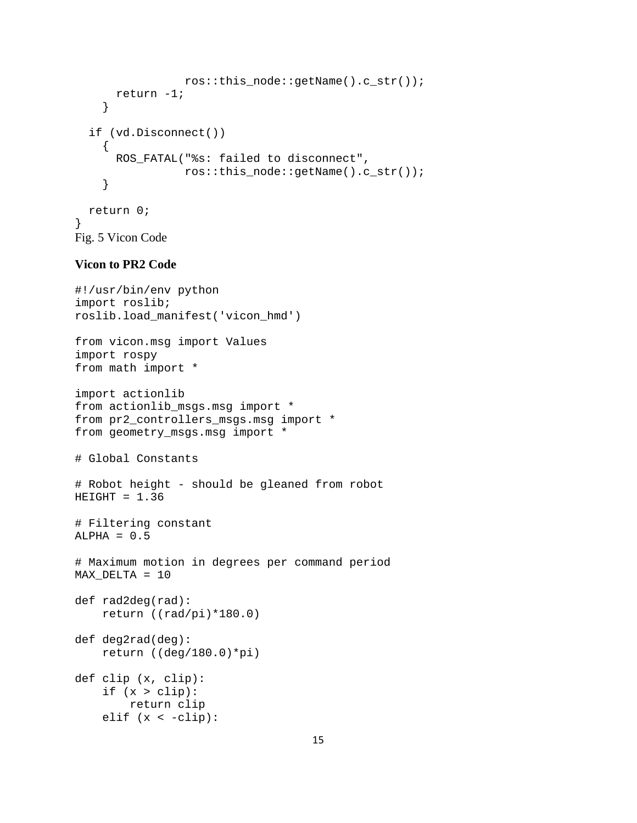```
 ros::this_node::getName().c_str()); 
       return -1; 
     } 
   if (vd.Disconnect()) 
     { 
        ROS_FATAL("%s: failed to disconnect", 
                   ros::this_node::getName().c_str()); 
     } 
   return 0; 
} 
Fig. 5 Vicon Code
```
### **Vicon to PR2 Code**

```
#!/usr/bin/env python 
import roslib; 
roslib.load_manifest('vicon_hmd') 
from vicon.msg import Values 
import rospy 
from math import * 
import actionlib 
from actionlib_msgs.msg import * 
from pr2_controllers_msgs.msg import * 
from geometry_msgs.msg import * 
# Global Constants 
# Robot height - should be gleaned from robot 
HEIGHT = 1.36# Filtering constant 
ALPHA = 0.5# Maximum motion in degrees per command period 
MAX_DELTA = 10 
def rad2deg(rad): 
     return ((rad/pi)*180.0) 
def deg2rad(deg): 
     return ((deg/180.0)*pi) 
def clip (x, clip): 
    if (x > clip):
         return clip 
    elif (x < -clip):
```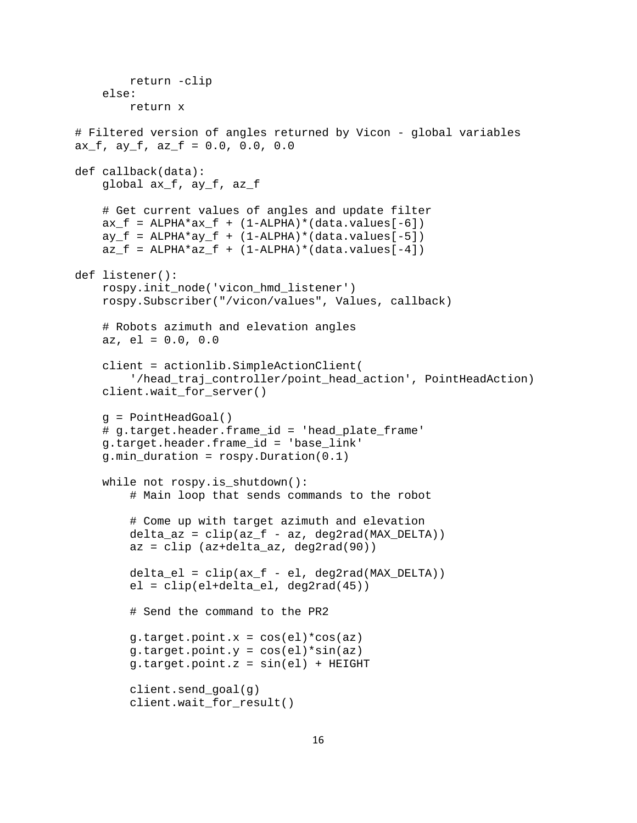```
 return -clip 
     else: 
         return x 
# Filtered version of angles returned by Vicon - global variables 
ax\_f, ay\_f, az\_f = 0.0, 0.0, 0.0def callback(data): 
     global ax_f, ay_f, az_f 
     # Get current values of angles and update filter 
    ax_f = ALPHA*ax_f + (1-ALPHA)*(data.values[-6])ay_f = ALPHA*ay_f + (1-ALPHA)*(data.values[-5])az_f = ALPHA*az_f + (1-ALPHA)*(data.values[-4])def listener(): 
     rospy.init_node('vicon_hmd_listener') 
     rospy.Subscriber("/vicon/values", Values, callback) 
     # Robots azimuth and elevation angles 
     az, el = 0.0, 0.0 
     client = actionlib.SimpleActionClient( 
         '/head_traj_controller/point_head_action', PointHeadAction) 
     client.wait_for_server() 
     g = PointHeadGoal() 
     # g.target.header.frame_id = 'head_plate_frame' 
     g.target.header.frame_id = 'base_link' 
     g.min_duration = rospy.Duration(0.1) 
     while not rospy.is_shutdown(): 
         # Main loop that sends commands to the robot 
         # Come up with target azimuth and elevation 
        delta az = clip(az f - az, deg2rad(MAX DELTA))
         az = clip (az+delta_az, deg2rad(90)) 
        delta el = clip(ax f - el, deg2rad(MAX DELTA))
         el = clip(el+delta_el, deg2rad(45)) 
         # Send the command to the PR2 
        g.target.point.x = cos(el)*cos(az)g.target.point.y = cos(el)*sin(az) g.target.point.z = sin(el) + HEIGHT 
         client.send_goal(g) 
         client.wait_for_result()
```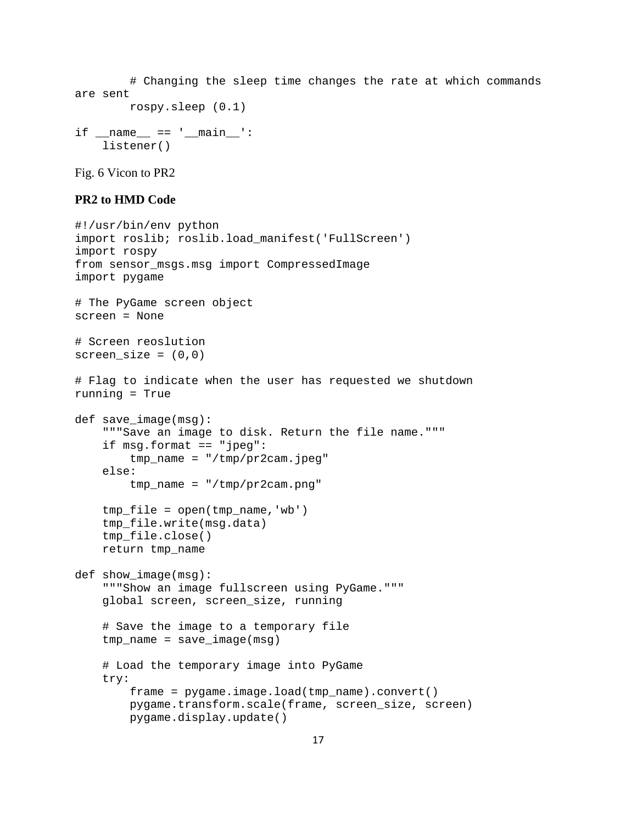# Changing the sleep time changes the rate at which commands are sent rospy.sleep (0.1)

```
if __name__ == '__main__': listener()
```
Fig. 6 Vicon to PR2

## **PR2 to HMD Code**

```
#!/usr/bin/env python 
import roslib; roslib.load_manifest('FullScreen') 
import rospy 
from sensor_msgs.msg import CompressedImage 
import pygame 
# The PyGame screen object 
screen = None 
# Screen reoslution 
screen\_size = (0,0)# Flag to indicate when the user has requested we shutdown 
running = True 
def save_image(msg): 
     """Save an image to disk. Return the file name.""" 
     if msg.format == "jpeg": 
         tmp_name = "/tmp/pr2cam.jpeg" 
     else: 
         tmp_name = "/tmp/pr2cam.png" 
     tmp_file = open(tmp_name,'wb') 
    tmp file.write(msg.data)
     tmp_file.close() 
     return tmp_name 
def show_image(msg): 
     """Show an image fullscreen using PyGame.""" 
     global screen, screen_size, running 
     # Save the image to a temporary file 
     tmp_name = save_image(msg) 
     # Load the temporary image into PyGame 
     try: 
         frame = pygame.image.load(tmp_name).convert() 
         pygame.transform.scale(frame, screen_size, screen) 
         pygame.display.update()
```